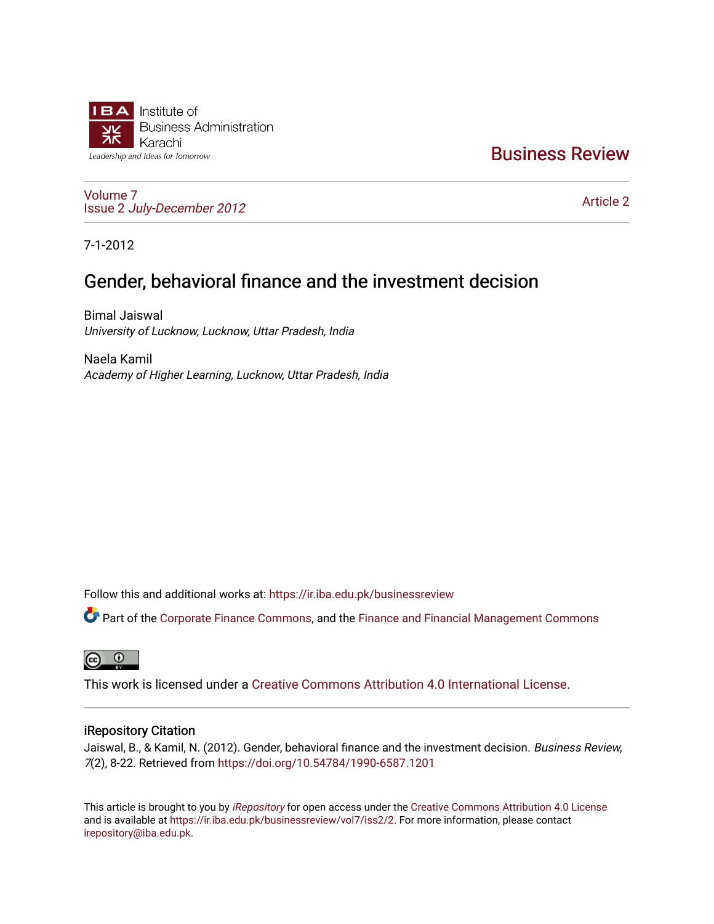

## [Business Review](https://ir.iba.edu.pk/businessreview)

[Volume 7](https://ir.iba.edu.pk/businessreview/vol7) Issue 2 [July-December 2012](https://ir.iba.edu.pk/businessreview/vol7/iss2)

[Article 2](https://ir.iba.edu.pk/businessreview/vol7/iss2/2) 

7-1-2012

# Gender, behavioral finance and the investment decision

Bimal Jaiswal University of Lucknow, Lucknow, Uttar Pradesh, India

Naela Kamil Academy of Higher Learning, Lucknow, Uttar Pradesh, India

Follow this and additional works at: [https://ir.iba.edu.pk/businessreview](https://ir.iba.edu.pk/businessreview?utm_source=ir.iba.edu.pk%2Fbusinessreview%2Fvol7%2Fiss2%2F2&utm_medium=PDF&utm_campaign=PDFCoverPages) 

Part of the [Corporate Finance Commons](http://network.bepress.com/hgg/discipline/629?utm_source=ir.iba.edu.pk%2Fbusinessreview%2Fvol7%2Fiss2%2F2&utm_medium=PDF&utm_campaign=PDFCoverPages), and the [Finance and Financial Management Commons](http://network.bepress.com/hgg/discipline/631?utm_source=ir.iba.edu.pk%2Fbusinessreview%2Fvol7%2Fiss2%2F2&utm_medium=PDF&utm_campaign=PDFCoverPages) 

**ම** 

This work is licensed under a [Creative Commons Attribution 4.0 International License](https://creativecommons.org/licenses/by/4.0/).

### iRepository Citation

Jaiswal, B., & Kamil, N. (2012). Gender, behavioral finance and the investment decision. Business Review, 7(2), 8-22. Retrieved from <https://doi.org/10.54784/1990-6587.1201>

This article is brought to you by [iRepository](https://ir.iba.edu.pk/) for open access under the Creative Commons Attribution 4.0 License and is available at [https://ir.iba.edu.pk/businessreview/vol7/iss2/2.](https://ir.iba.edu.pk/businessreview/vol7/iss2/2) For more information, please contact [irepository@iba.edu.pk.](mailto:irepository@iba.edu.pk)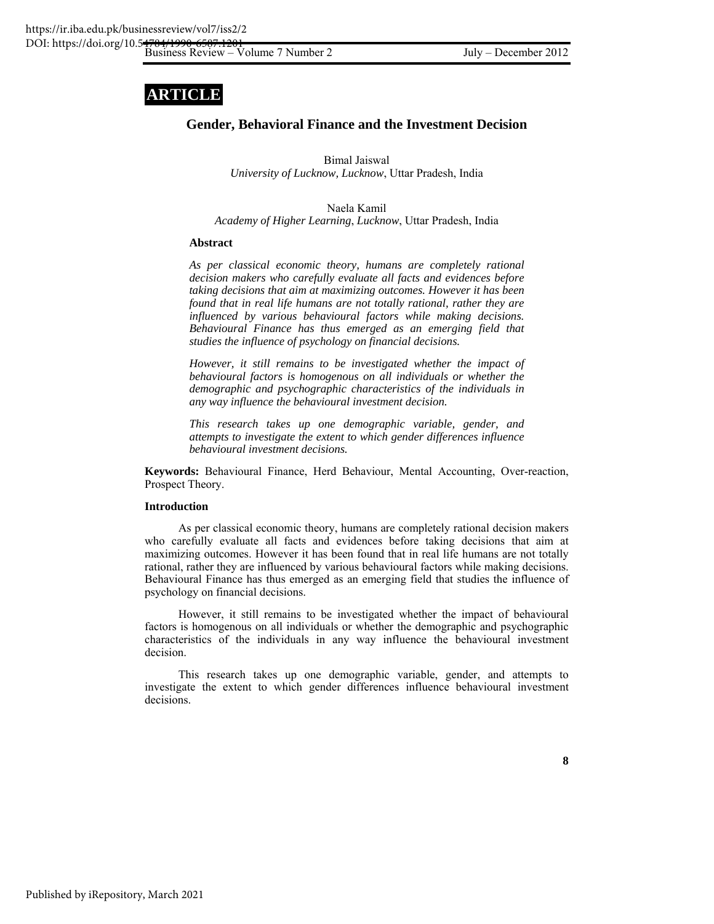# **ARTICLE**

### **Gender, Behavioral Finance and the Investment Decision**

Bimal Jaiswal *University of Lucknow, Lucknow*, Uttar Pradesh, India

Naela Kamil

*Academy of Higher Learning*, *Lucknow*, Uttar Pradesh, India

#### **Abstract**

*As per classical economic theory, humans are completely rational decision makers who carefully evaluate all facts and evidences before taking decisions that aim at maximizing outcomes. However it has been found that in real life humans are not totally rational, rather they are influenced by various behavioural factors while making decisions. Behavioural Finance has thus emerged as an emerging field that studies the influence of psychology on financial decisions.* 

*However, it still remains to be investigated whether the impact of behavioural factors is homogenous on all individuals or whether the demographic and psychographic characteristics of the individuals in any way influence the behavioural investment decision.* 

*This research takes up one demographic variable, gender, and attempts to investigate the extent to which gender differences influence behavioural investment decisions.* 

**Keywords:** Behavioural Finance, Herd Behaviour, Mental Accounting, Over-reaction, Prospect Theory.

#### **Introduction**

As per classical economic theory, humans are completely rational decision makers who carefully evaluate all facts and evidences before taking decisions that aim at maximizing outcomes. However it has been found that in real life humans are not totally rational, rather they are influenced by various behavioural factors while making decisions. Behavioural Finance has thus emerged as an emerging field that studies the influence of psychology on financial decisions.

However, it still remains to be investigated whether the impact of behavioural factors is homogenous on all individuals or whether the demographic and psychographic characteristics of the individuals in any way influence the behavioural investment decision.

This research takes up one demographic variable, gender, and attempts to investigate the extent to which gender differences influence behavioural investment decisions.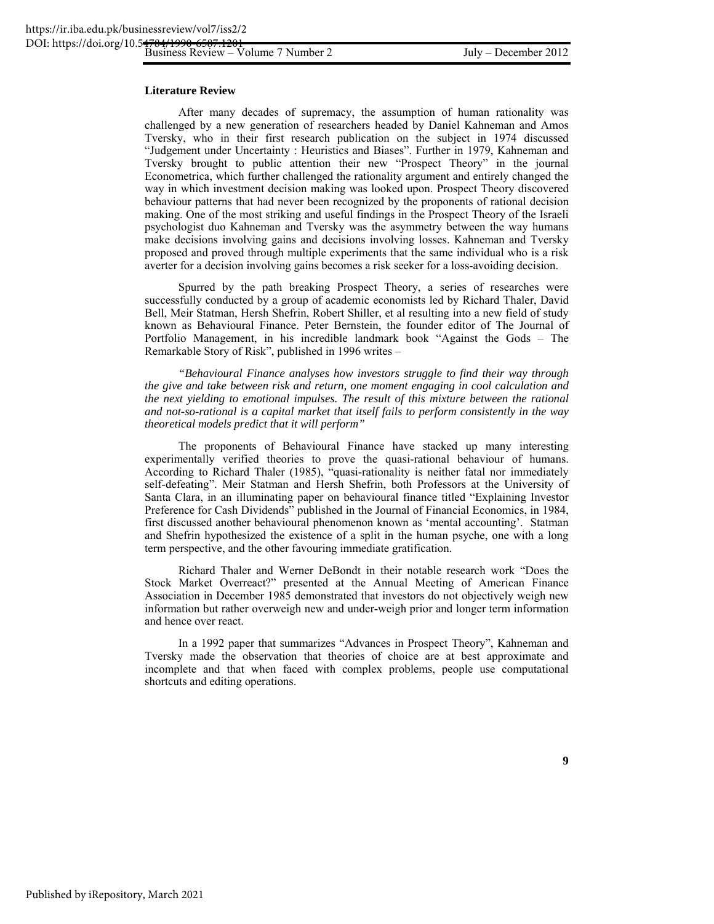#### **Literature Review**

After many decades of supremacy, the assumption of human rationality was challenged by a new generation of researchers headed by Daniel Kahneman and Amos Tversky, who in their first research publication on the subject in 1974 discussed "Judgement under Uncertainty : Heuristics and Biases". Further in 1979, Kahneman and Tversky brought to public attention their new "Prospect Theory" in the journal Econometrica, which further challenged the rationality argument and entirely changed the way in which investment decision making was looked upon. Prospect Theory discovered behaviour patterns that had never been recognized by the proponents of rational decision making. One of the most striking and useful findings in the Prospect Theory of the Israeli psychologist duo Kahneman and Tversky was the asymmetry between the way humans make decisions involving gains and decisions involving losses. Kahneman and Tversky proposed and proved through multiple experiments that the same individual who is a risk averter for a decision involving gains becomes a risk seeker for a loss-avoiding decision.

Spurred by the path breaking Prospect Theory, a series of researches were successfully conducted by a group of academic economists led by Richard Thaler, David Bell, Meir Statman, Hersh Shefrin, Robert Shiller, et al resulting into a new field of study known as Behavioural Finance. Peter Bernstein, the founder editor of The Journal of Portfolio Management, in his incredible landmark book "Against the Gods – The Remarkable Story of Risk", published in 1996 writes –

*"Behavioural Finance analyses how investors struggle to find their way through the give and take between risk and return, one moment engaging in cool calculation and the next yielding to emotional impulses. The result of this mixture between the rational and not-so-rational is a capital market that itself fails to perform consistently in the way theoretical models predict that it will perform"* 

The proponents of Behavioural Finance have stacked up many interesting experimentally verified theories to prove the quasi-rational behaviour of humans. According to Richard Thaler (1985), "quasi-rationality is neither fatal nor immediately self-defeating". Meir Statman and Hersh Shefrin, both Professors at the University of Santa Clara, in an illuminating paper on behavioural finance titled "Explaining Investor Preference for Cash Dividends" published in the Journal of Financial Economics, in 1984, first discussed another behavioural phenomenon known as 'mental accounting'. Statman and Shefrin hypothesized the existence of a split in the human psyche, one with a long term perspective, and the other favouring immediate gratification.

Richard Thaler and Werner DeBondt in their notable research work "Does the Stock Market Overreact?" presented at the Annual Meeting of American Finance Association in December 1985 demonstrated that investors do not objectively weigh new information but rather overweigh new and under-weigh prior and longer term information and hence over react.

In a 1992 paper that summarizes "Advances in Prospect Theory", Kahneman and Tversky made the observation that theories of choice are at best approximate and incomplete and that when faced with complex problems, people use computational shortcuts and editing operations.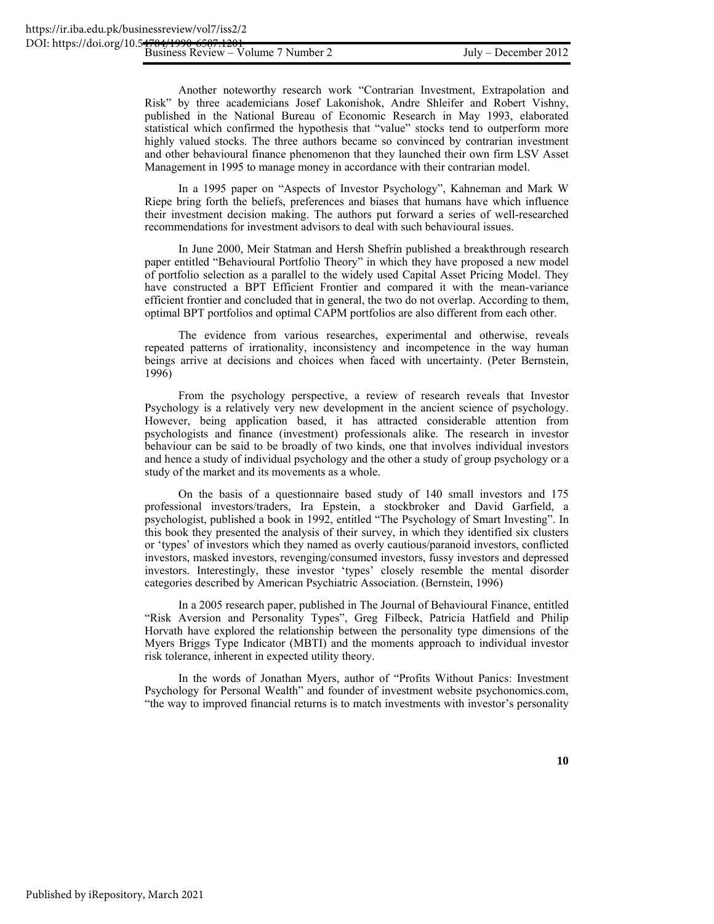Another noteworthy research work "Contrarian Investment, Extrapolation and Risk" by three academicians Josef Lakonishok, Andre Shleifer and Robert Vishny, published in the National Bureau of Economic Research in May 1993, elaborated statistical which confirmed the hypothesis that "value" stocks tend to outperform more highly valued stocks. The three authors became so convinced by contrarian investment and other behavioural finance phenomenon that they launched their own firm LSV Asset Management in 1995 to manage money in accordance with their contrarian model.

In a 1995 paper on "Aspects of Investor Psychology", Kahneman and Mark W Riepe bring forth the beliefs, preferences and biases that humans have which influence their investment decision making. The authors put forward a series of well-researched recommendations for investment advisors to deal with such behavioural issues.

In June 2000, Meir Statman and Hersh Shefrin published a breakthrough research paper entitled "Behavioural Portfolio Theory" in which they have proposed a new model of portfolio selection as a parallel to the widely used Capital Asset Pricing Model. They have constructed a BPT Efficient Frontier and compared it with the mean-variance efficient frontier and concluded that in general, the two do not overlap. According to them, optimal BPT portfolios and optimal CAPM portfolios are also different from each other.

The evidence from various researches, experimental and otherwise, reveals repeated patterns of irrationality, inconsistency and incompetence in the way human beings arrive at decisions and choices when faced with uncertainty. (Peter Bernstein, 1996)

From the psychology perspective, a review of research reveals that Investor Psychology is a relatively very new development in the ancient science of psychology. However, being application based, it has attracted considerable attention from psychologists and finance (investment) professionals alike. The research in investor behaviour can be said to be broadly of two kinds, one that involves individual investors and hence a study of individual psychology and the other a study of group psychology or a study of the market and its movements as a whole.

On the basis of a questionnaire based study of 140 small investors and 175 professional investors/traders, Ira Epstein, a stockbroker and David Garfield, a psychologist, published a book in 1992, entitled "The Psychology of Smart Investing". In this book they presented the analysis of their survey, in which they identified six clusters or 'types' of investors which they named as overly cautious/paranoid investors, conflicted investors, masked investors, revenging/consumed investors, fussy investors and depressed investors. Interestingly, these investor 'types' closely resemble the mental disorder categories described by American Psychiatric Association. (Bernstein, 1996)

In a 2005 research paper, published in The Journal of Behavioural Finance, entitled "Risk Aversion and Personality Types", Greg Filbeck, Patricia Hatfield and Philip Horvath have explored the relationship between the personality type dimensions of the Myers Briggs Type Indicator (MBTI) and the moments approach to individual investor risk tolerance, inherent in expected utility theory.

In the words of Jonathan Myers, author of "Profits Without Panics: Investment Psychology for Personal Wealth" and founder of investment website psychonomics.com, "the way to improved financial returns is to match investments with investor's personality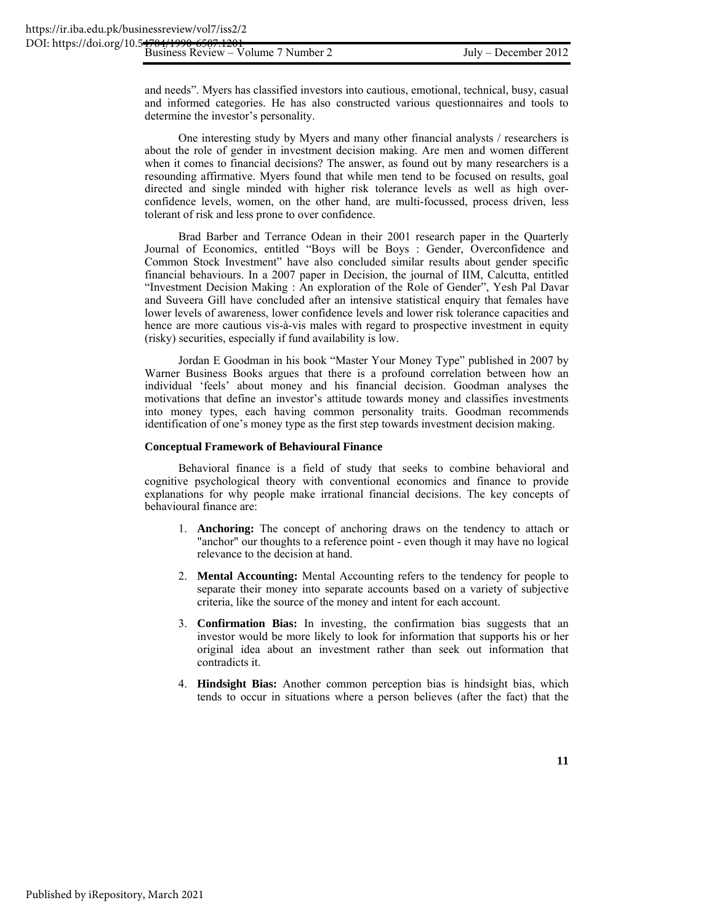and needs". Myers has classified investors into cautious, emotional, technical, busy, casual and informed categories. He has also constructed various questionnaires and tools to determine the investor's personality.

One interesting study by Myers and many other financial analysts / researchers is about the role of gender in investment decision making. Are men and women different when it comes to financial decisions? The answer, as found out by many researchers is a resounding affirmative. Myers found that while men tend to be focused on results, goal directed and single minded with higher risk tolerance levels as well as high overconfidence levels, women, on the other hand, are multi-focussed, process driven, less tolerant of risk and less prone to over confidence.

Brad Barber and Terrance Odean in their 2001 research paper in the Quarterly Journal of Economics, entitled "Boys will be Boys : Gender, Overconfidence and Common Stock Investment" have also concluded similar results about gender specific financial behaviours. In a 2007 paper in Decision, the journal of IIM, Calcutta, entitled "Investment Decision Making : An exploration of the Role of Gender", Yesh Pal Davar and Suveera Gill have concluded after an intensive statistical enquiry that females have lower levels of awareness, lower confidence levels and lower risk tolerance capacities and hence are more cautious vis-à-vis males with regard to prospective investment in equity (risky) securities, especially if fund availability is low.

Jordan E Goodman in his book "Master Your Money Type" published in 2007 by Warner Business Books argues that there is a profound correlation between how an individual 'feels' about money and his financial decision. Goodman analyses the motivations that define an investor's attitude towards money and classifies investments into money types, each having common personality traits. Goodman recommends identification of one's money type as the first step towards investment decision making.

#### **Conceptual Framework of Behavioural Finance**

Behavioral finance is a field of study that seeks to combine behavioral and cognitive psychological theory with conventional economics and finance to provide explanations for why people make irrational financial decisions. The key concepts of behavioural finance are:

- 1. **Anchoring:** The concept of anchoring draws on the tendency to attach or "anchor" our thoughts to a reference point - even though it may have no logical relevance to the decision at hand.
- 2. **Mental Accounting:** Mental Accounting refers to the tendency for people to separate their money into separate accounts based on a variety of subjective criteria, like the source of the money and intent for each account.
- 3. **Confirmation Bias:** In investing, the confirmation bias suggests that an investor would be more likely to look for information that supports his or her original idea about an investment rather than seek out information that contradicts it.
- 4. **Hindsight Bias:** Another common perception bias is hindsight bias, which tends to occur in situations where a person believes (after the fact) that the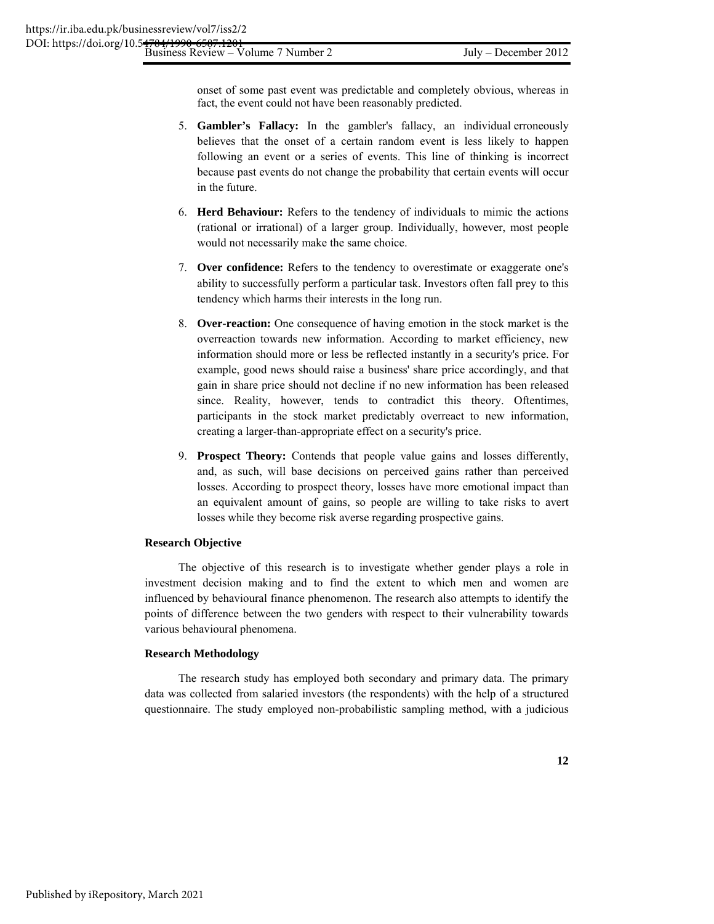onset of some past event was predictable and completely obvious, whereas in fact, the event could not have been reasonably predicted.

- 5. **Gambler's Fallacy:** In the gambler's fallacy, an individual erroneously believes that the onset of a certain random event is less likely to happen following an event or a series of events. This line of thinking is incorrect because past events do not change the probability that certain events will occur in the future.
- 6. **Herd Behaviour:** Refers to the tendency of individuals to mimic the actions (rational or irrational) of a larger group. Individually, however, most people would not necessarily make the same choice.
- 7. **Over confidence:** Refers to the tendency to overestimate or exaggerate one's ability to successfully perform a particular task. Investors often fall prey to this tendency which harms their interests in the long run.
- 8. **Over-reaction:** One consequence of having emotion in the stock market is the overreaction towards new information. According to market efficiency, new information should more or less be reflected instantly in a security's price. For example, good news should raise a business' share price accordingly, and that gain in share price should not decline if no new information has been released since. Reality, however, tends to contradict this theory. Oftentimes, participants in the stock market predictably overreact to new information, creating a larger-than-appropriate effect on a security's price.
- 9. **Prospect Theory:** Contends that people value gains and losses differently, and, as such, will base decisions on perceived gains rather than perceived losses. According to prospect theory, losses have more emotional impact than an equivalent amount of gains, so people are willing to take risks to avert losses while they become risk averse regarding prospective gains.

#### **Research Objective**

The objective of this research is to investigate whether gender plays a role in investment decision making and to find the extent to which men and women are influenced by behavioural finance phenomenon. The research also attempts to identify the points of difference between the two genders with respect to their vulnerability towards various behavioural phenomena.

#### **Research Methodology**

The research study has employed both secondary and primary data. The primary data was collected from salaried investors (the respondents) with the help of a structured questionnaire. The study employed non-probabilistic sampling method, with a judicious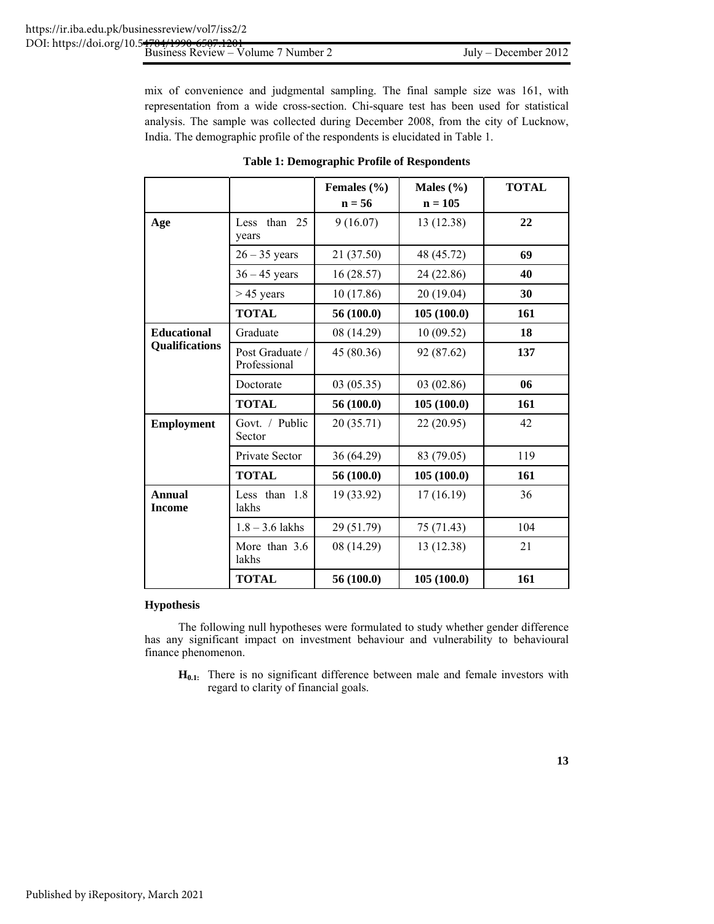mix of convenience and judgmental sampling. The final sample size was 161, with representation from a wide cross-section. Chi-square test has been used for statistical analysis. The sample was collected during December 2008, from the city of Lucknow, India. The demographic profile of the respondents is elucidated in Table 1.

|                                |                                 | Females $(\% )$<br>$n = 56$ | Males $(\% )$<br>$n = 105$ | <b>TOTAL</b> |
|--------------------------------|---------------------------------|-----------------------------|----------------------------|--------------|
| Age                            | than 25<br>Less<br>years        | 9(16.07)                    | 13 (12.38)                 | 22           |
|                                | $26 - 35$ years                 | 21 (37.50)                  | 48 (45.72)                 | 69           |
|                                | $36 - 45$ years                 | 16(28.57)                   | 24 (22.86)                 | 40           |
|                                | $>$ 45 years                    | 10 (17.86)                  | 20 (19.04)                 | 30           |
|                                | <b>TOTAL</b>                    | 56 (100.0)                  | 105(100.0)                 | 161          |
| <b>Educational</b>             | Graduate                        | 08 (14.29)                  | 10(09.52)                  | 18           |
| Qualifications                 | Post Graduate /<br>Professional | 45 (80.36)                  | 92 (87.62)                 | 137          |
|                                | Doctorate                       | 03(05.35)                   | 03 (02.86)                 | 06           |
|                                | <b>TOTAL</b>                    | 56 (100.0)                  | 105(100.0)                 | 161          |
| <b>Employment</b>              | Govt. / Public<br>Sector        | 20(35.71)                   | 22(20.95)                  | 42           |
|                                | Private Sector                  | 36 (64.29)                  | 83 (79.05)                 | 119          |
|                                | <b>TOTAL</b>                    | 56 (100.0)                  | 105(100.0)                 | 161          |
| <b>Annual</b><br><b>Income</b> | Less than 1.8<br>lakhs          | 19 (33.92)                  | 17(16.19)                  | 36           |
|                                | $1.8 - 3.6$ lakhs               | 29 (51.79)                  | 75 (71.43)                 | 104          |
|                                | More than 3.6<br>lakhs          | 08 (14.29)                  | 13 (12.38)                 | 21           |
|                                | <b>TOTAL</b>                    | 56(100.0)                   | 105(100.0)                 | 161          |

### **Table 1: Demographic Profile of Respondents**

#### **Hypothesis**

The following null hypotheses were formulated to study whether gender difference has any significant impact on investment behaviour and vulnerability to behavioural finance phenomenon.

**H0.1:** There is no significant difference between male and female investors with regard to clarity of financial goals.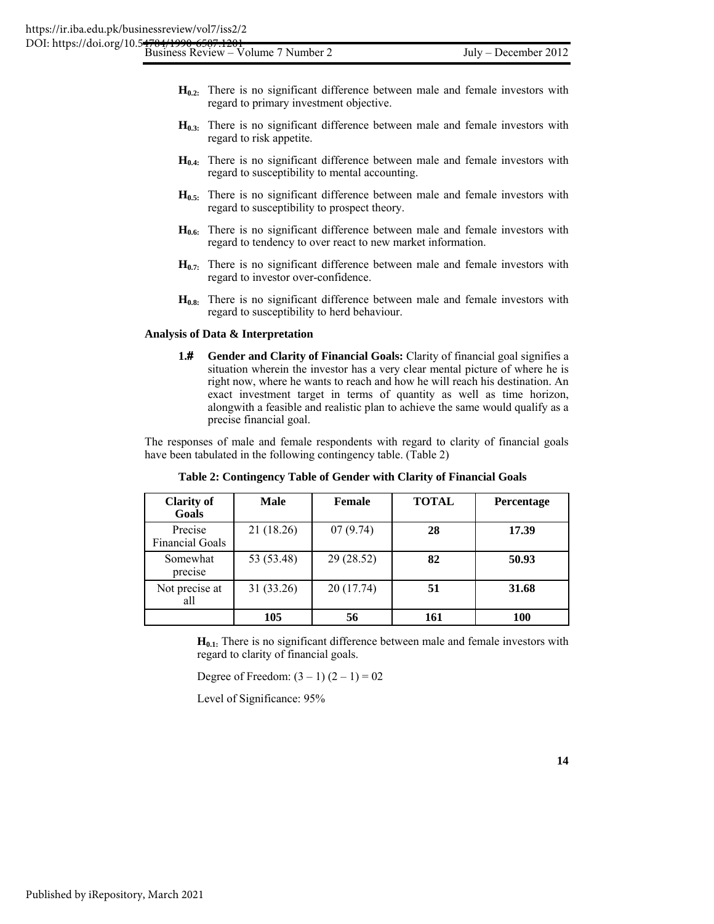| DOI: https://doi.org/10.54704/1990-6507.1201<br>Business Review – Volume 7 Number 2 |  |
|-------------------------------------------------------------------------------------|--|
|                                                                                     |  |
|                                                                                     |  |

- **H**<sub>0.2:</sub> There is no significant difference between male and female investors with regard to primary investment objective.
- **H<sub>0.3:</sub>** There is no significant difference between male and female investors with regard to risk appetite.
- **H0.4:** There is no significant difference between male and female investors with regard to susceptibility to mental accounting.
- **H**<sub>0.5:</sub> There is no significant difference between male and female investors with regard to susceptibility to prospect theory.
- **H**<sub>0.6:</sub> There is no significant difference between male and female investors with regard to tendency to over react to new market information.
- $H_{0.7}$ : There is no significant difference between male and female investors with regard to investor over-confidence.
- **H0.8:** There is no significant difference between male and female investors with regard to susceptibility to herd behaviour.

#### **Analysis of Data & Interpretation**

**1. Gender and Clarity of Financial Goals:** Clarity of financial goal signifies a situation wherein the investor has a very clear mental picture of where he is right now, where he wants to reach and how he will reach his destination. An exact investment target in terms of quantity as well as time horizon, alongwith a feasible and realistic plan to achieve the same would qualify as a precise financial goal.

The responses of male and female respondents with regard to clarity of financial goals have been tabulated in the following contingency table. (Table 2)

| <b>Clarity of</b><br>Goals        | Male       | <b>Female</b> | <b>TOTAL</b> | Percentage |
|-----------------------------------|------------|---------------|--------------|------------|
| Precise<br><b>Financial Goals</b> | 21 (18.26) | 07(9.74)      | 28           | 17.39      |
| Somewhat<br>precise               | 53 (53.48) | 29 (28.52)    | 82           | 50.93      |
| Not precise at<br>all             | 31 (33.26) | 20 (17.74)    | 51           | 31.68      |
|                                   | 105        | 56            | 161          | 100        |

**Table 2: Contingency Table of Gender with Clarity of Financial Goals** 

**H<sub>0.1:</sub>** There is no significant difference between male and female investors with regard to clarity of financial goals.

Degree of Freedom:  $(3 – 1) (2 – 1) = 02$ 

Level of Significance: 95%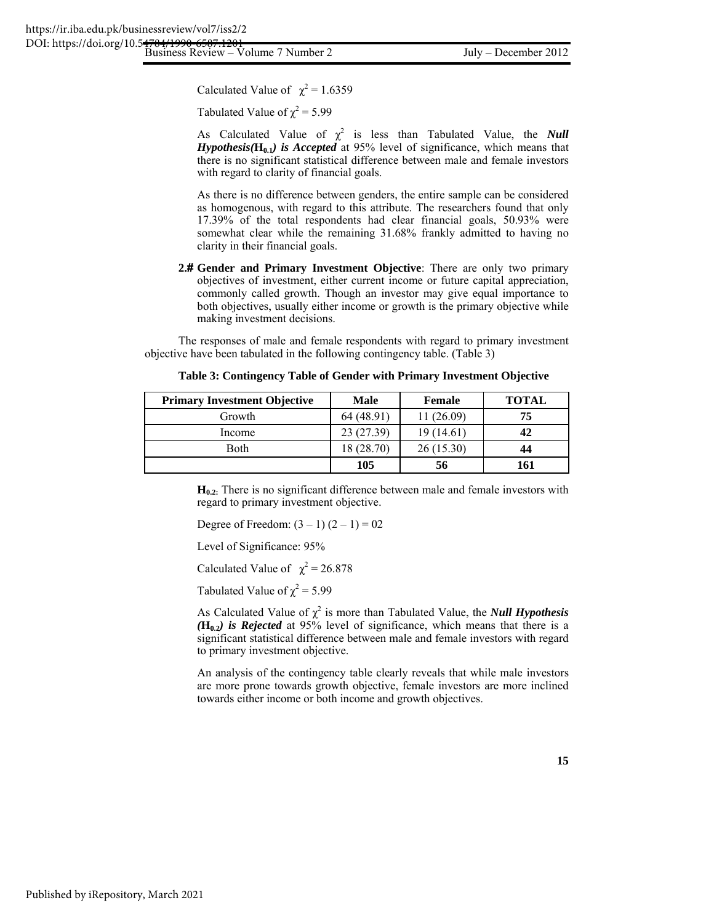Business Review – Volume 7 Number 2 July – December 2012 DOI: https://doi.org/10.5<del>4704/199</del>

Calculated Value of  $\chi^2 = 1.6359$ 

Tabulated Value of  $\chi^2$  = 5.99

As Calculated Value of  $\chi^2$  is less than Tabulated Value, the *Null Hypothesis*( $\mathbf{H}_{0,1}$ *) is Accepted* at 95% level of significance, which means that there is no significant statistical difference between male and female investors with regard to clarity of financial goals.

 As there is no difference between genders, the entire sample can be considered as homogenous, with regard to this attribute. The researchers found that only 17.39% of the total respondents had clear financial goals, 50.93% were somewhat clear while the remaining 31.68% frankly admitted to having no clarity in their financial goals.

2.# Gender and Primary Investment Objective: There are only two primary objectives of investment, either current income or future capital appreciation, commonly called growth. Though an investor may give equal importance to both objectives, usually either income or growth is the primary objective while making investment decisions.

The responses of male and female respondents with regard to primary investment objective have been tabulated in the following contingency table. (Table 3)

| <b>Primary Investment Objective</b> | <b>Male</b> | Female     | <b>TOTAL</b> |
|-------------------------------------|-------------|------------|--------------|
| Growth                              | 64 (48.91)  | 11 (26.09) | 75           |
| Income                              | 23 (27.39)  | 19(14.61)  | 42           |
| <b>Both</b>                         | 18 (28.70)  | 26(15.30)  | 44           |
|                                     | 105         | 56         | 161          |

**Table 3: Contingency Table of Gender with Primary Investment Objective** 

 $H<sub>0.2</sub>$ . There is no significant difference between male and female investors with regard to primary investment objective.

Degree of Freedom:  $(3 – 1) (2 – 1) = 02$ 

Level of Significance: 95%

Calculated Value of  $\chi^2 = 26.878$ 

Tabulated Value of  $\chi^2$  = 5.99

As Calculated Value of  $\chi^2$  is more than Tabulated Value, the *Null Hypothesis*  $(\mathbf{H}_{0,2})$  is Rejected at 95% level of significance, which means that there is a significant statistical difference between male and female investors with regard to primary investment objective.

 An analysis of the contingency table clearly reveals that while male investors are more prone towards growth objective, female investors are more inclined towards either income or both income and growth objectives.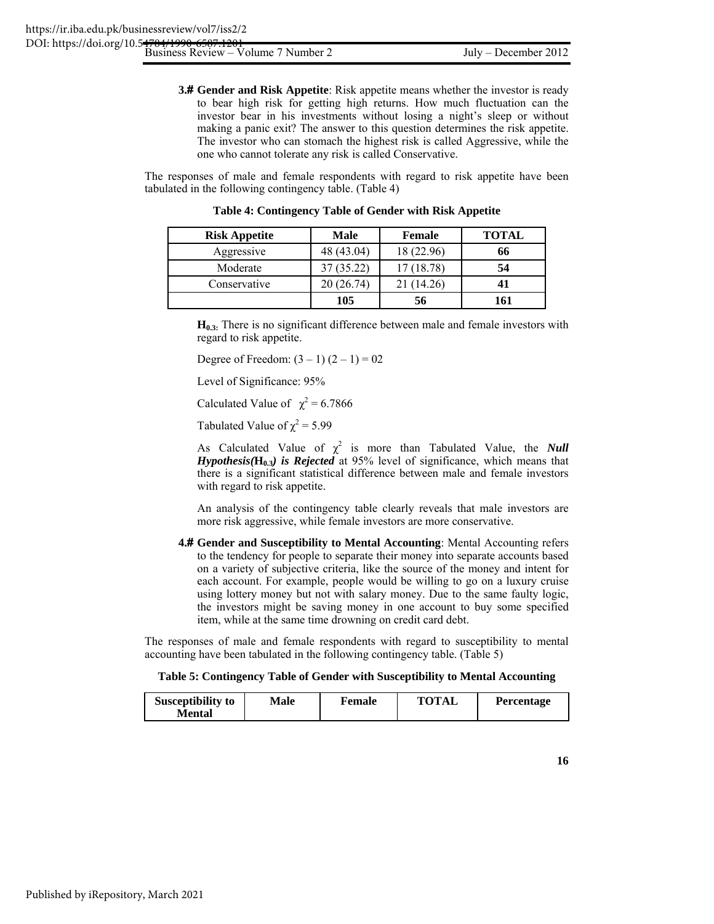**3. Gender and Risk Appetite**: Risk appetite means whether the investor is ready to bear high risk for getting high returns. How much fluctuation can the investor bear in his investments without losing a night's sleep or without making a panic exit? The answer to this question determines the risk appetite. The investor who can stomach the highest risk is called Aggressive, while the one who cannot tolerate any risk is called Conservative.

The responses of male and female respondents with regard to risk appetite have been tabulated in the following contingency table. (Table 4)

| <b>Risk Appetite</b> | <b>Male</b> | <b>Female</b> | <b>TOTAL</b> |
|----------------------|-------------|---------------|--------------|
| Aggressive           | 48 (43.04)  | 18 (22.96)    | 66           |
| Moderate             | 37 (35.22)  | 17 (18.78)    | 54           |
| Conservative         | 20 (26.74)  | 21 (14.26)    |              |
|                      | 105         | 56            | 161          |

**Table 4: Contingency Table of Gender with Risk Appetite** 

**H<sub>0.3:</sub>** There is no significant difference between male and female investors with regard to risk appetite.

Degree of Freedom:  $(3 – 1) (2 – 1) = 02$ 

Level of Significance: 95%

Calculated Value of  $\chi^2 = 6.7866$ 

Tabulated Value of  $\chi^2$  = 5.99

As Calculated Value of  $\chi^2$  is more than Tabulated Value, the *Null Hypothesis*( $\mathbf{H}_{0,3}$ *) is Rejected* at 95% level of significance, which means that there is a significant statistical difference between male and female investors with regard to risk appetite.

 An analysis of the contingency table clearly reveals that male investors are more risk aggressive, while female investors are more conservative.

**4. Gender and Susceptibility to Mental Accounting**: Mental Accounting refers to the tendency for people to separate their money into separate accounts based on a variety of subjective criteria, like the source of the money and intent for each account. For example, people would be willing to go on a luxury cruise using lottery money but not with salary money. Due to the same faulty logic, the investors might be saving money in one account to buy some specified item, while at the same time drowning on credit card debt.

The responses of male and female respondents with regard to susceptibility to mental accounting have been tabulated in the following contingency table. (Table 5)

**Table 5: Contingency Table of Gender with Susceptibility to Mental Accounting** 

| <b>Susceptibility to</b><br>Male<br>Mental | Female | <b>TOTAL</b> | <b>Percentage</b> |
|--------------------------------------------|--------|--------------|-------------------|
|--------------------------------------------|--------|--------------|-------------------|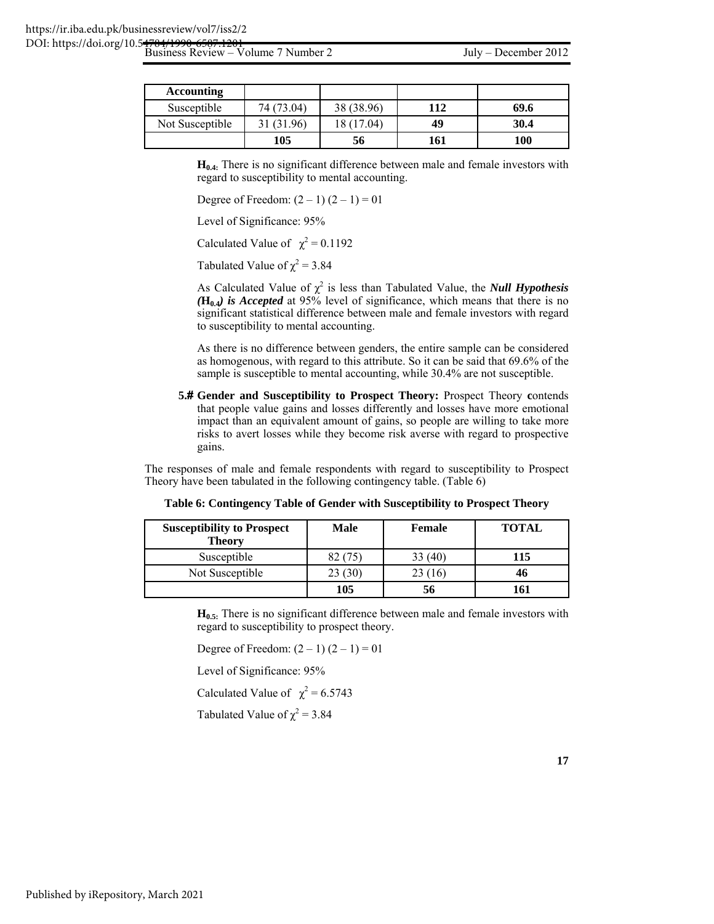| <b>Accounting</b> |            |            |     |      |
|-------------------|------------|------------|-----|------|
| Susceptible       | 74 (73.04) | 38 (38.96) | 112 | 69.6 |
| Not Susceptible   | 31 (31.96) | 18 (17.04) | 49  | 30.4 |
|                   | 105        | 56         | 161 | 100  |

**H<sub>0.4:</sub>** There is no significant difference between male and female investors with regard to susceptibility to mental accounting.

Degree of Freedom:  $(2 - 1) (2 - 1) = 01$ 

Level of Significance: 95%

Calculated Value of  $\chi^2 = 0.1192$ 

Tabulated Value of  $\chi^2$  = 3.84

As Calculated Value of  $\chi^2$  is less than Tabulated Value, the *Null Hypothesis*  $(\mathbf{H}_{0,4})$  is Accepted at 95% level of significance, which means that there is no significant statistical difference between male and female investors with regard to susceptibility to mental accounting.

 As there is no difference between genders, the entire sample can be considered as homogenous, with regard to this attribute. So it can be said that 69.6% of the sample is susceptible to mental accounting, while 30.4% are not susceptible.

**5. Gender and Susceptibility to Prospect Theory:** Prospect Theory **c**ontends that people value gains and losses differently and losses have more emotional impact than an equivalent amount of gains, so people are willing to take more risks to avert losses while they become risk averse with regard to prospective gains.

The responses of male and female respondents with regard to susceptibility to Prospect Theory have been tabulated in the following contingency table. (Table 6)

**Table 6: Contingency Table of Gender with Susceptibility to Prospect Theory** 

| <b>Susceptibility to Prospect</b><br><b>Theory</b> | <b>Male</b> | <b>Female</b> | <b>TOTAL</b> |
|----------------------------------------------------|-------------|---------------|--------------|
| Susceptible                                        | 82(75)      | 33 (40)       | 115          |
| Not Susceptible                                    | 23 (30)     | 23 (16)       | 46           |
|                                                    | 105         | 56            | 161          |

**H**<sub>0.5:</sub> There is no significant difference between male and female investors with regard to susceptibility to prospect theory.

Degree of Freedom:  $(2 - 1) (2 - 1) = 01$ 

Level of Significance: 95%

Calculated Value of  $\chi^2 = 6.5743$ 

Tabulated Value of  $\chi^2 = 3.84$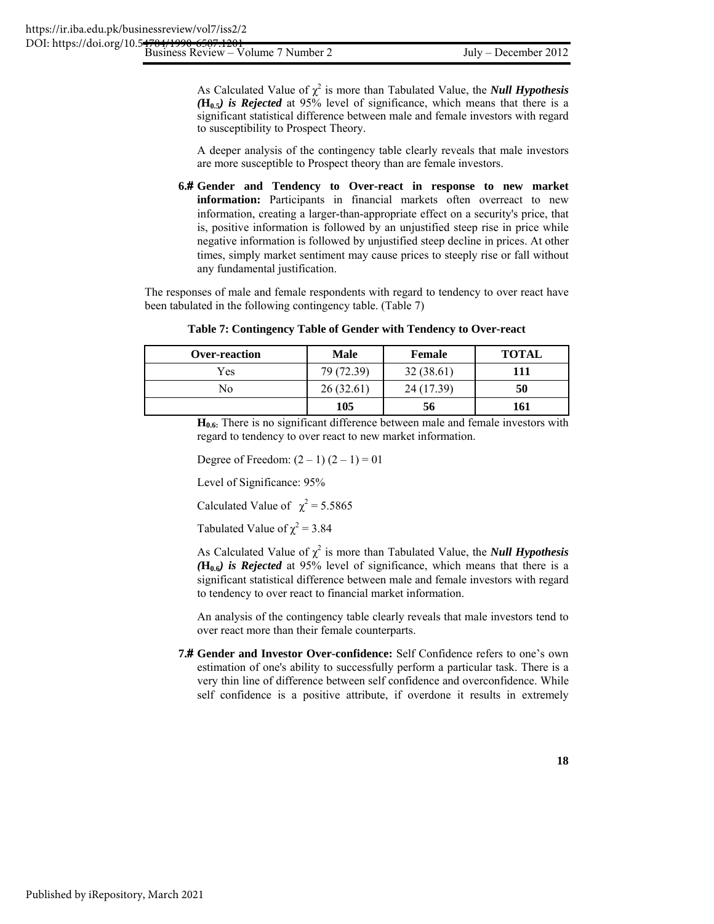$B$ usiness Review –  $\sqrt{6}$ olume 7 Number 2  $\sqrt{6}$  July – December 2012

As Calculated Value of  $\chi^2$  is more than Tabulated Value, the *Null Hypothesis*  $(\mathbf{H}_{0.5})$  is Rejected at 95% level of significance, which means that there is a significant statistical difference between male and female investors with regard to susceptibility to Prospect Theory.

 A deeper analysis of the contingency table clearly reveals that male investors are more susceptible to Prospect theory than are female investors.

**6. Gender and Tendency to Over-react in response to new market information:** Participants in financial markets often overreact to new information, creating a larger-than-appropriate effect on a security's price, that is, positive information is followed by an unjustified steep rise in price while negative information is followed by unjustified steep decline in prices. At other times, simply market sentiment may cause prices to steeply rise or fall without any fundamental justification.

The responses of male and female respondents with regard to tendency to over react have been tabulated in the following contingency table. (Table 7)

| Table 7: Contingency Table of Gender with Tendency to Over-react |
|------------------------------------------------------------------|
|------------------------------------------------------------------|

| <b>Over-reaction</b> | <b>Male</b> | Female     | <b>TOTAL</b> |
|----------------------|-------------|------------|--------------|
| Yes                  | 79 (72.39)  | 32(38.61)  | 111          |
| N٥                   | 26(32.61)   | 24 (17.39) | 50           |
|                      | 105         | 56         | 161          |

**H**<sub>0.6</sub>: There is no significant difference between male and female investors with regard to tendency to over react to new market information.

Degree of Freedom:  $(2 - 1) (2 - 1) = 01$ 

Level of Significance: 95%

Calculated Value of  $\chi^2 = 5.5865$ 

Tabulated Value of  $\chi^2 = 3.84$ 

As Calculated Value of  $\chi^2$  is more than Tabulated Value, the *Null Hypothesis*  $(\mathbf{H}_{0.6})$  is *Rejected* at 95% level of significance, which means that there is a significant statistical difference between male and female investors with regard to tendency to over react to financial market information.

 An analysis of the contingency table clearly reveals that male investors tend to over react more than their female counterparts.

**7. Gender and Investor Over-confidence:** Self Confidence refers to one's own estimation of one's ability to successfully perform a particular task. There is a very thin line of difference between self confidence and overconfidence. While self confidence is a positive attribute, if overdone it results in extremely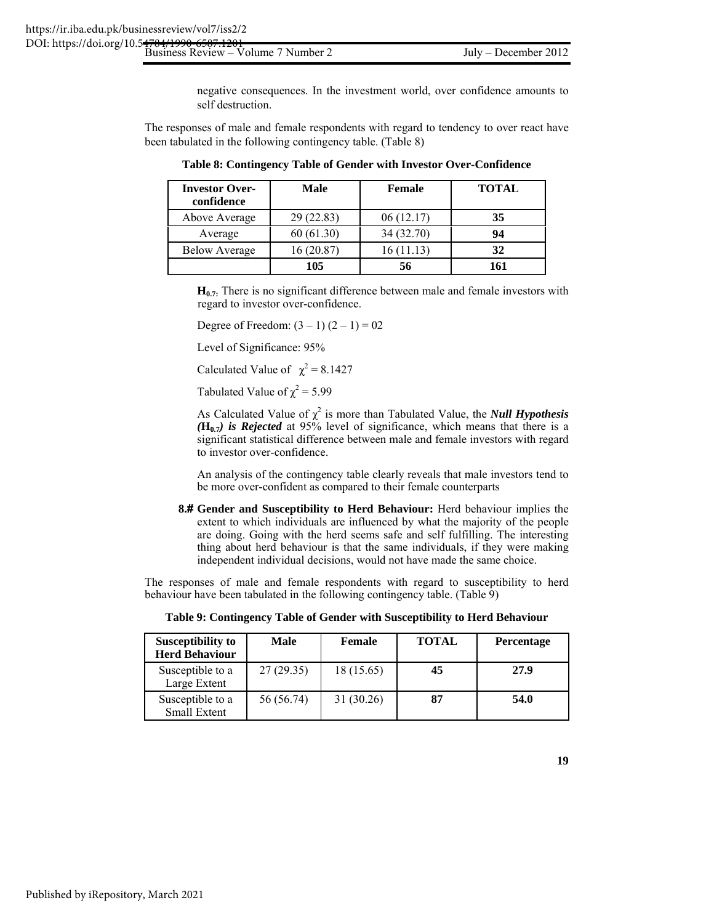negative consequences. In the investment world, over confidence amounts to self destruction.

The responses of male and female respondents with regard to tendency to over react have been tabulated in the following contingency table. (Table 8)

| <b>Investor Over-</b><br>confidence | Male      | Female     | <b>TOTAL</b> |
|-------------------------------------|-----------|------------|--------------|
| Above Average                       | 29(22.83) | 06(12.17)  | 35           |
| Average                             | 60(61.30) | 34 (32.70) | 94           |
| <b>Below Average</b>                | 16(20.87) | 16(11.13)  | 32           |
|                                     | 105       | 56         | 161          |

**Table 8: Contingency Table of Gender with Investor Over-Confidence** 

**H<sub>0.7:</sub>** There is no significant difference between male and female investors with regard to investor over-confidence.

Degree of Freedom:  $(3 – 1) (2 – 1) = 02$ 

Level of Significance: 95%

Calculated Value of  $\chi^2 = 8.1427$ 

Tabulated Value of  $\chi^2$  = 5.99

As Calculated Value of  $\chi^2$  is more than Tabulated Value, the *Null Hypothesis*  $(\mathbf{H}_{0.7})$  is Rejected at 95% level of significance, which means that there is a significant statistical difference between male and female investors with regard to investor over-confidence.

 An analysis of the contingency table clearly reveals that male investors tend to be more over-confident as compared to their female counterparts

**8. Gender and Susceptibility to Herd Behaviour:** Herd behaviour implies the extent to which individuals are influenced by what the majority of the people are doing. Going with the herd seems safe and self fulfilling. The interesting thing about herd behaviour is that the same individuals, if they were making independent individual decisions, would not have made the same choice.

The responses of male and female respondents with regard to susceptibility to herd behaviour have been tabulated in the following contingency table. (Table 9)

**Table 9: Contingency Table of Gender with Susceptibility to Herd Behaviour** 

| <b>Susceptibility to</b><br><b>Herd Behaviour</b> | Male       | Female     | <b>TOTAL</b> | <b>Percentage</b> |
|---------------------------------------------------|------------|------------|--------------|-------------------|
| Susceptible to a<br>Large Extent                  | 27(29.35)  | 18 (15.65) | 45           | 27.9              |
| Susceptible to a<br><b>Small Extent</b>           | 56 (56.74) | 31(30.26)  | 87           | 54.0              |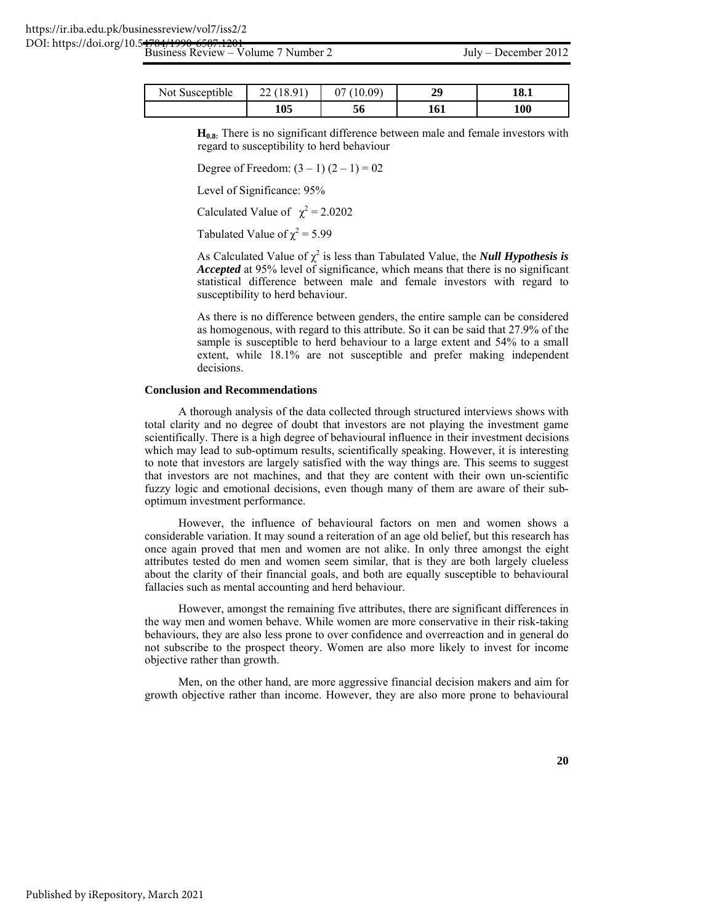| Not Susceptible | $\bigcap$ 1<br>u<br>∠∠ | ገበ በባነ | 20<br>رىد | 18.1 |
|-----------------|------------------------|--------|-----------|------|
|                 | 105                    | 50     | 101       | 100  |

**H<sub>0.8:</sub>** There is no significant difference between male and female investors with regard to susceptibility to herd behaviour

Degree of Freedom:  $(3 – 1) (2 – 1) = 02$ 

Level of Significance: 95%

Calculated Value of  $\chi^2 = 2.0202$ 

Tabulated Value of  $\chi^2$  = 5.99

As Calculated Value of  $\chi^2$  is less than Tabulated Value, the *Null Hypothesis is Accepted* at 95% level of significance, which means that there is no significant statistical difference between male and female investors with regard to susceptibility to herd behaviour.

 As there is no difference between genders, the entire sample can be considered as homogenous, with regard to this attribute. So it can be said that 27.9% of the sample is susceptible to herd behaviour to a large extent and 54% to a small extent, while 18.1% are not susceptible and prefer making independent decisions.

#### **Conclusion and Recommendations**

A thorough analysis of the data collected through structured interviews shows with total clarity and no degree of doubt that investors are not playing the investment game scientifically. There is a high degree of behavioural influence in their investment decisions which may lead to sub-optimum results, scientifically speaking. However, it is interesting to note that investors are largely satisfied with the way things are. This seems to suggest that investors are not machines, and that they are content with their own un-scientific fuzzy logic and emotional decisions, even though many of them are aware of their suboptimum investment performance.

However, the influence of behavioural factors on men and women shows a considerable variation. It may sound a reiteration of an age old belief, but this research has once again proved that men and women are not alike. In only three amongst the eight attributes tested do men and women seem similar, that is they are both largely clueless about the clarity of their financial goals, and both are equally susceptible to behavioural fallacies such as mental accounting and herd behaviour.

However, amongst the remaining five attributes, there are significant differences in the way men and women behave. While women are more conservative in their risk-taking behaviours, they are also less prone to over confidence and overreaction and in general do not subscribe to the prospect theory. Women are also more likely to invest for income objective rather than growth.

Men, on the other hand, are more aggressive financial decision makers and aim for growth objective rather than income. However, they are also more prone to behavioural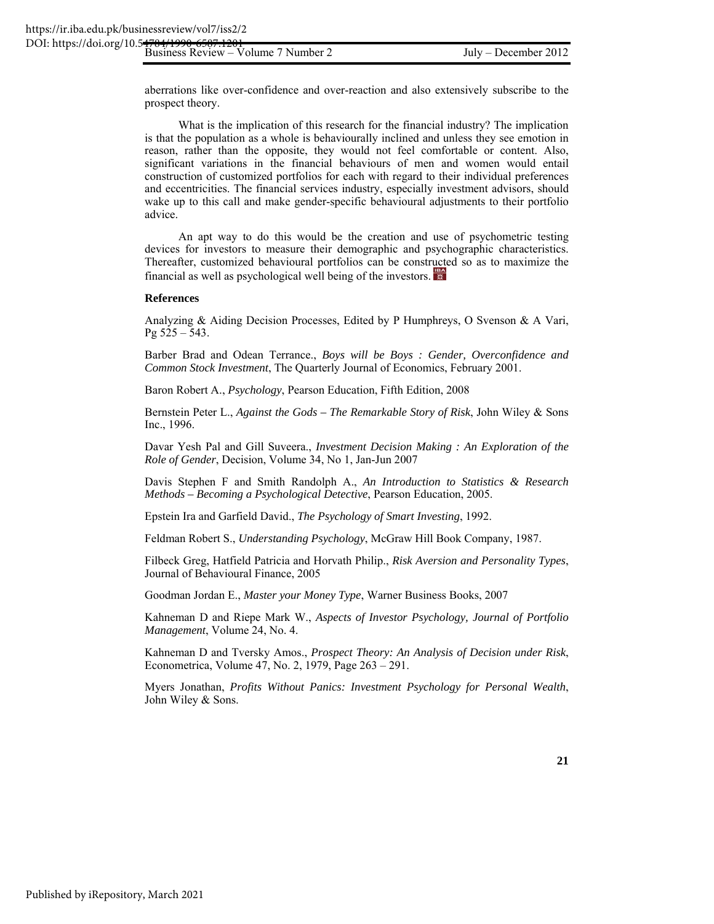aberrations like over-confidence and over-reaction and also extensively subscribe to the prospect theory.

What is the implication of this research for the financial industry? The implication is that the population as a whole is behaviourally inclined and unless they see emotion in reason, rather than the opposite, they would not feel comfortable or content. Also, significant variations in the financial behaviours of men and women would entail construction of customized portfolios for each with regard to their individual preferences and eccentricities. The financial services industry, especially investment advisors, should wake up to this call and make gender-specific behavioural adjustments to their portfolio advice.

An apt way to do this would be the creation and use of psychometric testing devices for investors to measure their demographic and psychographic characteristics. Thereafter, customized behavioural portfolios can be constructed so as to maximize the financial as well as psychological well being of the investors.

#### **References**

Analyzing & Aiding Decision Processes, Edited by P Humphreys, O Svenson & A Vari, Pg 525 – 543.

Barber Brad and Odean Terrance., *Boys will be Boys : Gender, Overconfidence and Common Stock Investment*, The Quarterly Journal of Economics, February 2001.

Baron Robert A., *Psychology*, Pearson Education, Fifth Edition, 2008

Bernstein Peter L., *Against the Gods – The Remarkable Story of Risk*, John Wiley & Sons Inc., 1996.

Davar Yesh Pal and Gill Suveera., *Investment Decision Making : An Exploration of the Role of Gender*, Decision, Volume 34, No 1, Jan-Jun 2007

Davis Stephen F and Smith Randolph A., *An Introduction to Statistics & Research Methods – Becoming a Psychological Detective*, Pearson Education, 2005.

Epstein Ira and Garfield David., *The Psychology of Smart Investing*, 1992.

Feldman Robert S., *Understanding Psychology*, McGraw Hill Book Company, 1987.

Filbeck Greg, Hatfield Patricia and Horvath Philip., *Risk Aversion and Personality Types*, Journal of Behavioural Finance, 2005

Goodman Jordan E., *Master your Money Type*, Warner Business Books, 2007

Kahneman D and Riepe Mark W., *Aspects of Investor Psychology, Journal of Portfolio Management*, Volume 24, No. 4.

Kahneman D and Tversky Amos., *Prospect Theory: An Analysis of Decision under Risk*, Econometrica, Volume 47, No. 2, 1979, Page 263 – 291.

Myers Jonathan, *Profits Without Panics: Investment Psychology for Personal Wealth*, John Wiley & Sons.